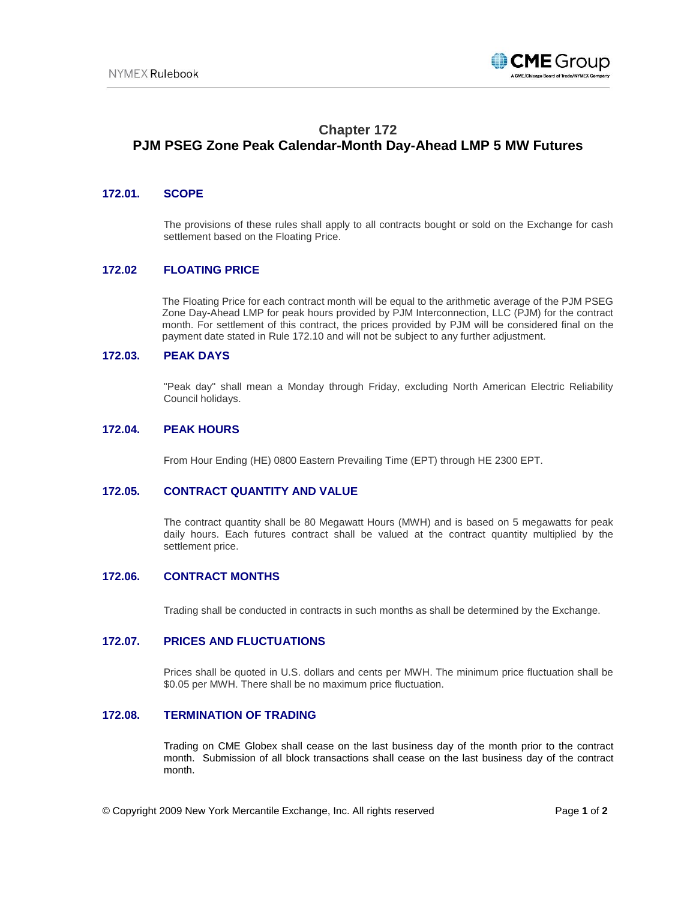

# **Chapter 172 PJM PSEG Zone Peak Calendar-Month Day-Ahead LMP 5 MW Futures**

## **172.01. SCOPE**

The provisions of these rules shall apply to all contracts bought or sold on the Exchange for cash settlement based on the Floating Price.

## **172.02 FLOATING PRICE**

The Floating Price for each contract month will be equal to the arithmetic average of the PJM PSEG Zone Day-Ahead LMP for peak hours provided by PJM Interconnection, LLC (PJM) for the contract month. For settlement of this contract, the prices provided by PJM will be considered final on the payment date stated in Rule 172.10 and will not be subject to any further adjustment.

## **172.03. PEAK DAYS**

"Peak day" shall mean a Monday through Friday, excluding North American Electric Reliability Council holidays.

#### **172.04. PEAK HOURS**

From Hour Ending (HE) 0800 Eastern Prevailing Time (EPT) through HE 2300 EPT.

#### **172.05. CONTRACT QUANTITY AND VALUE**

The contract quantity shall be 80 Megawatt Hours (MWH) and is based on 5 megawatts for peak daily hours. Each futures contract shall be valued at the contract quantity multiplied by the settlement price.

#### **172.06. CONTRACT MONTHS**

Trading shall be conducted in contracts in such months as shall be determined by the Exchange.

### **172.07. PRICES AND FLUCTUATIONS**

Prices shall be quoted in U.S. dollars and cents per MWH. The minimum price fluctuation shall be \$0.05 per MWH. There shall be no maximum price fluctuation.

### **172.08. TERMINATION OF TRADING**

Trading on CME Globex shall cease on the last business day of the month prior to the contract month. Submission of all block transactions shall cease on the last business day of the contract month.